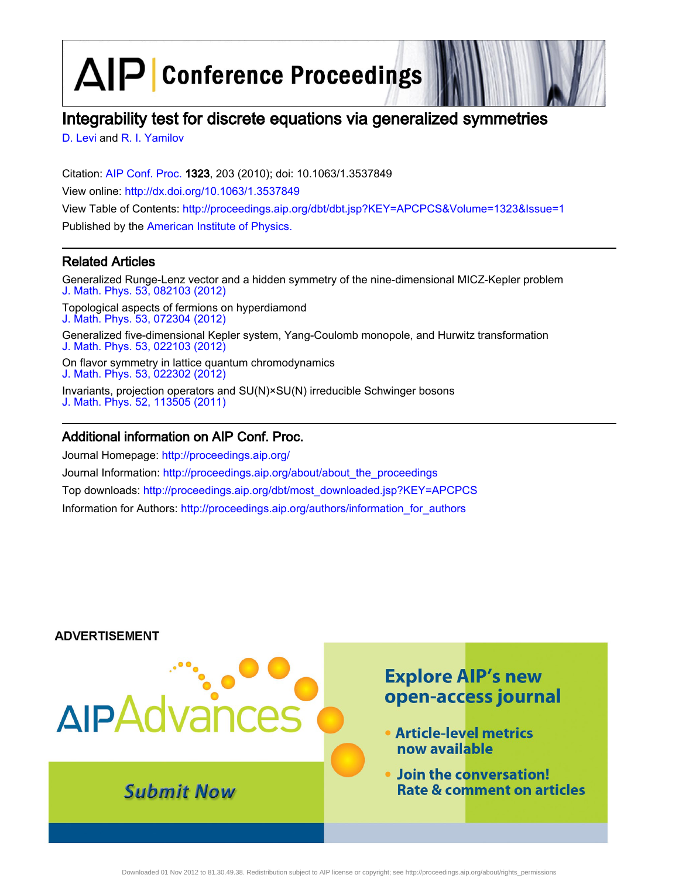$\Delta$  $\left| \mathsf{P} \right|$  Conference Proceedings

# Integrability test for discrete equations via generalized symmetries

[D. Levi](http://scitation.aip.org/vsearch/servlet/VerityServlet?KEY=ALL&uSeDeFaUlTkEy=TrUe&possible1=D. Levi&possible1zone=author&maxdisp=25&smode=strresults&aqs=true&ver=pdfcov) and [R. I. Yamilov](http://scitation.aip.org/vsearch/servlet/VerityServlet?KEY=ALL&uSeDeFaUlTkEy=TrUe&possible1=R. I. Yamilov&possible1zone=author&maxdisp=25&smode=strresults&aqs=true&ver=pdfcov)

Citation: [AIP Conf. Proc.](http://proceedings.aip.org/?ver=pdfcov) 1323, 203 (2010); doi: 10.1063/1.3537849 View online: [http://dx.doi.org/10.1063/1.3537849](http://link.aip.org/link/doi/10.1063/1.3537849?ver=pdfcov) View Table of Contents: [http://proceedings.aip.org/dbt/dbt.jsp?KEY=APCPCS&Volume=1323&Issue=1](http://proceedings.aip.org/dbt/dbt.jsp?KEY=APCPCS&Volume=1323&Issue=1&ver=pdfcov) Published by the [American Institute of Physics.](http://www.aip.org/?ver=pdfcov)

### Related Articles

Generalized Runge-Lenz vector and a hidden symmetry of the nine-dimensional MICZ-Kepler problem [J. Math. Phys. 53, 082103 \(2012\)](http://link.aip.org/link/doi/10.1063/1.4740514?ver=pdfcov)

Topological aspects of fermions on hyperdiamond [J. Math. Phys. 53, 072304 \(2012\)](http://link.aip.org/link/doi/10.1063/1.4736835?ver=pdfcov)

Generalized five-dimensional Kepler system, Yang-Coulomb monopole, and Hurwitz transformation [J. Math. Phys. 53, 022103 \(2012\)](http://link.aip.org/link/doi/10.1063/1.3684955?ver=pdfcov)

On flavor symmetry in lattice quantum chromodynamics [J. Math. Phys. 53, 022302 \(2012\)](http://link.aip.org/link/doi/10.1063/1.3682640?ver=pdfcov)

Invariants, projection operators and SU(N)×SU(N) irreducible Schwinger bosons [J. Math. Phys. 52, 113505 \(2011\)](http://link.aip.org/link/doi/10.1063/1.3660195?ver=pdfcov)

### Additional information on AIP Conf. Proc.

Journal Homepage: [http://proceedings.aip.org/](http://proceedings.aip.org/?ver=pdfcov) Journal Information: [http://proceedings.aip.org/about/about\\_the\\_proceedings](http://proceedings.aip.org/about/about_the_proceedings?ver=pdfcov) Top downloads: [http://proceedings.aip.org/dbt/most\\_downloaded.jsp?KEY=APCPCS](http://proceedings.aip.org/dbt/most_downloaded.jsp?KEY=APCPCS&ver=pdfcov) Information for Authors: [http://proceedings.aip.org/authors/information\\_for\\_authors](http://proceedings.aip.org/authors/information_for_authors?ver=pdfcov)

### **ADVERTISEMENT**

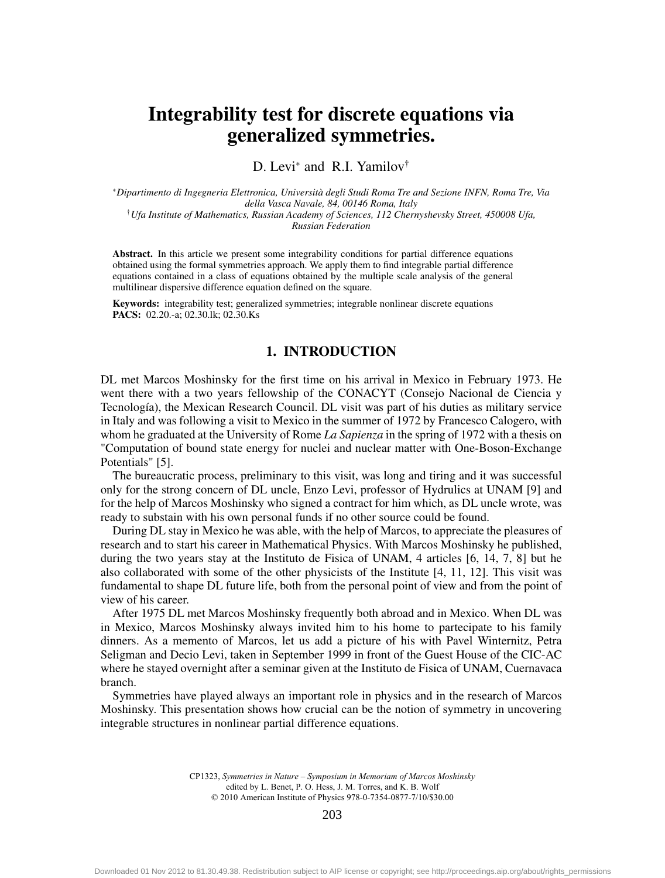## Integrability test for discrete equations via generalized symmetries.

D. Levi<sup>∗</sup> and R.I. Yamilov<sup>†</sup>

<sup>∗</sup>*Dipartimento di Ingegneria Elettronica, Università degli Studi Roma Tre and Sezione INFN, Roma Tre, Via della Vasca Navale, 84, 00146 Roma, Italy* †*Ufa Institute of Mathematics, Russian Academy of Sciences, 112 Chernyshevsky Street, 450008 Ufa, Russian Federation*

Abstract. In this article we present some integrability conditions for partial difference equations obtained using the formal symmetries approach. We apply them to find integrable partial difference equations contained in a class of equations obtained by the multiple scale analysis of the general multilinear dispersive difference equation defined on the square.

Keywords: integrability test; generalized symmetries; integrable nonlinear discrete equations PACS: 02.20.-a; 02.30.lk; 02.30.Ks

#### 1. INTRODUCTION

DL met Marcos Moshinsky for the first time on his arrival in Mexico in February 1973. He went there with a two years fellowship of the CONACYT (Consejo Nacional de Ciencia y Tecnología), the Mexican Research Council. DL visit was part of his duties as military service in Italy and was following a visit to Mexico in the summer of 1972 by Francesco Calogero, with whom he graduated at the University of Rome *La Sapienza* in the spring of 1972 with a thesis on "Computation of bound state energy for nuclei and nuclear matter with One-Boson-Exchange Potentials" [5].

The bureaucratic process, preliminary to this visit, was long and tiring and it was successful only for the strong concern of DL uncle, Enzo Levi, professor of Hydrulics at UNAM [9] and for the help of Marcos Moshinsky who signed a contract for him which, as DL uncle wrote, was ready to substain with his own personal funds if no other source could be found.

During DL stay in Mexico he was able, with the help of Marcos, to appreciate the pleasures of research and to start his career in Mathematical Physics. With Marcos Moshinsky he published, during the two years stay at the Instituto de Fisica of UNAM, 4 articles [6, 14, 7, 8] but he also collaborated with some of the other physicists of the Institute [4, 11, 12]. This visit was fundamental to shape DL future life, both from the personal point of view and from the point of view of his career.

After 1975 DL met Marcos Moshinsky frequently both abroad and in Mexico. When DL was in Mexico, Marcos Moshinsky always invited him to his home to partecipate to his family dinners. As a memento of Marcos, let us add a picture of his with Pavel Winternitz, Petra Seligman and Decio Levi, taken in September 1999 in front of the Guest House of the CIC-AC where he stayed overnight after a seminar given at the Instituto de Fisica of UNAM, Cuernavaca branch.

Symmetries have played always an important role in physics and in the research of Marcos Moshinsky. This presentation shows how crucial can be the notion of symmetry in uncovering integrable structures in nonlinear partial difference equations.

> CP1323, *Symmetries in Nature – Symposium in Memoriam of Marcos Moshinsky*  edited by L. Benet, P. O. Hess, J. M. Torres, and K. B. Wolf © 2010 American Institute of Physics 978-0-7354-0877-7/10/\$30.00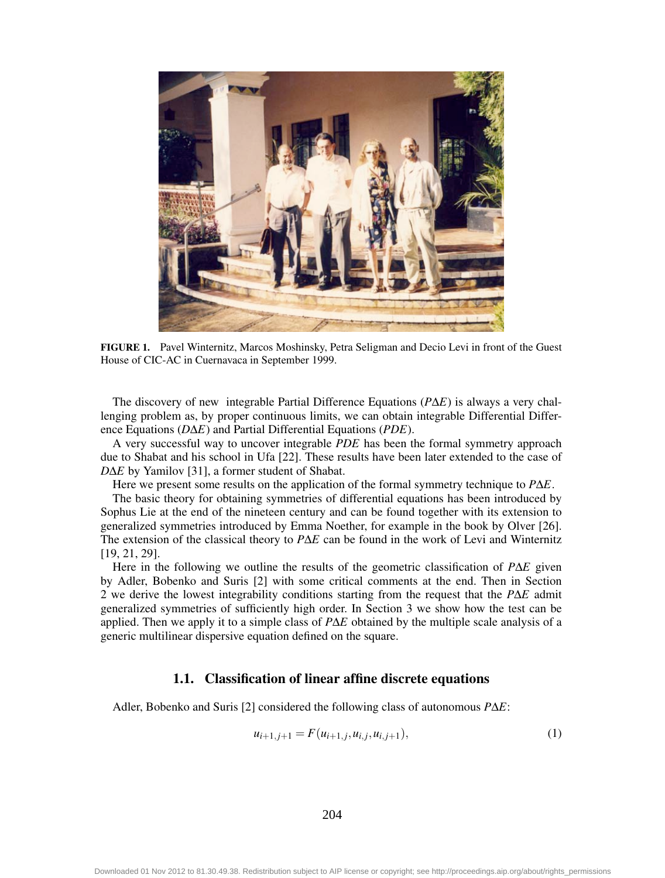

FIGURE 1. Pavel Winternitz, Marcos Moshinsky, Petra Seligman and Decio Levi in front of the Guest House of CIC-AC in Cuernavaca in September 1999.

The discovery of new integrable Partial Difference Equations (*P*∆*E*) is always a very challenging problem as, by proper continuous limits, we can obtain integrable Differential Difference Equations (*D*∆*E*) and Partial Differential Equations (*PDE*).

A very successful way to uncover integrable *PDE* has been the formal symmetry approach due to Shabat and his school in Ufa [22]. These results have been later extended to the case of *D*∆*E* by Yamilov [31], a former student of Shabat.

Here we present some results on the application of the formal symmetry technique to *P*∆*E*.

The basic theory for obtaining symmetries of differential equations has been introduced by Sophus Lie at the end of the nineteen century and can be found together with its extension to generalized symmetries introduced by Emma Noether, for example in the book by Olver [26]. The extension of the classical theory to *P*∆*E* can be found in the work of Levi and Winternitz [19, 21, 29].

Here in the following we outline the results of the geometric classification of *P*∆*E* given by Adler, Bobenko and Suris [2] with some critical comments at the end. Then in Section 2 we derive the lowest integrability conditions starting from the request that the *P*∆*E* admit generalized symmetries of sufficiently high order. In Section 3 we show how the test can be applied. Then we apply it to a simple class of *P*∆*E* obtained by the multiple scale analysis of a generic multilinear dispersive equation defined on the square.

#### 1.1. Classification of linear affine discrete equations

Adler, Bobenko and Suris [2] considered the following class of autonomous *P*∆*E*:

$$
u_{i+1,j+1} = F(u_{i+1,j}, u_{i,j}, u_{i,j+1}),
$$
\n(1)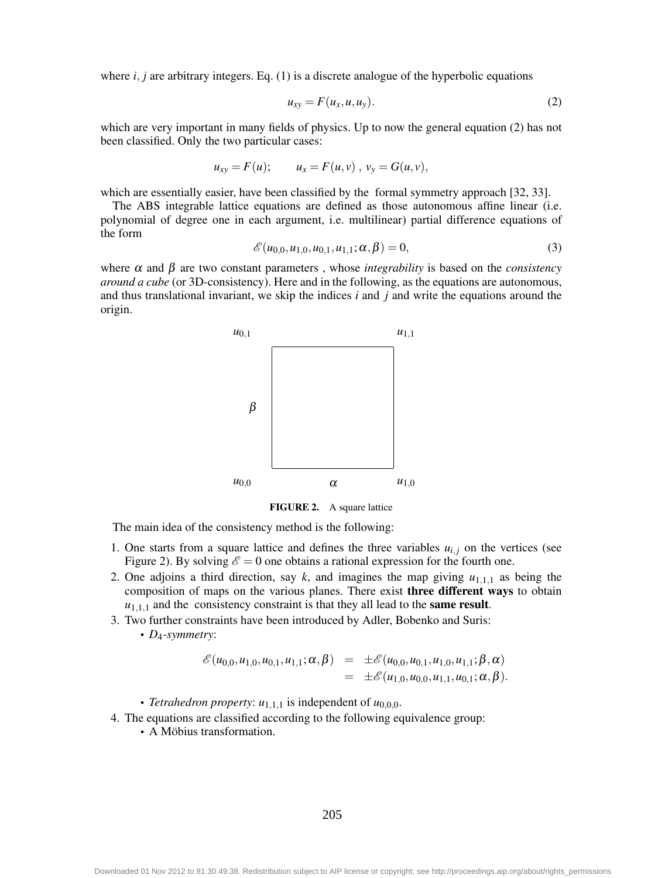where  $i$ ,  $j$  are arbitrary integers. Eq.  $(1)$  is a discrete analogue of the hyperbolic equations

$$
u_{xy} = F(u_x, u, u_y). \tag{2}
$$

which are very important in many fields of physics. Up to now the general equation (2) has not been classified. Only the two particular cases:

$$
u_{xy} = F(u);
$$
  $u_x = F(u, v), v_y = G(u, v),$ 

which are essentially easier, have been classified by the formal symmetry approach [32, 33].

The ABS integrable lattice equations are defined as those autonomous affine linear (i.e. polynomial of degree one in each argument, i.e. multilinear) partial difference equations of the form

$$
\mathscr{E}(u_{0,0}, u_{1,0}, u_{0,1}, u_{1,1}; \alpha, \beta) = 0, \tag{3}
$$

where  $\alpha$  and  $\beta$  are two constant parameters, whose *integrability* is based on the *consistency around a cube* (or 3D-consistency). Here and in the following, as the equations are autonomous, and thus translational invariant, we skip the indices *i* and *j* and write the equations around the origin.



FIGURE 2. A square lattice

The main idea of the consistency method is the following:

- 1. One starts from a square lattice and defines the three variables  $u_{i,j}$  on the vertices (see Figure 2). By solving  $\mathscr{E} = 0$  one obtains a rational expression for the fourth one.
- 2. One adjoins a third direction, say  $k$ , and imagines the map giving  $u_{1,1,1}$  as being the composition of maps on the various planes. There exist three different ways to obtain  $u_{1,1,1}$  and the consistency constraint is that they all lead to the **same result**.
- 3. Two further constraints have been introduced by Adler, Bobenko and Suris:

• *D*4*-symmetry*:

$$
\begin{array}{rcl}\n\mathscr{E}(u_{0,0},u_{1,0},u_{0,1},u_{1,1};\alpha,\beta) & = & \pm \mathscr{E}(u_{0,0},u_{0,1},u_{1,0},u_{1,1};\beta,\alpha) \\
& = & \pm \mathscr{E}(u_{1,0},u_{0,0},u_{1,1},u_{0,1};\alpha,\beta).\n\end{array}
$$

- *Tetrahedron property:*  $u_{1,1,1}$  is independent of  $u_{0,0,0}$ .
- 4. The equations are classified according to the following equivalence group:
	- A Möbius transformation.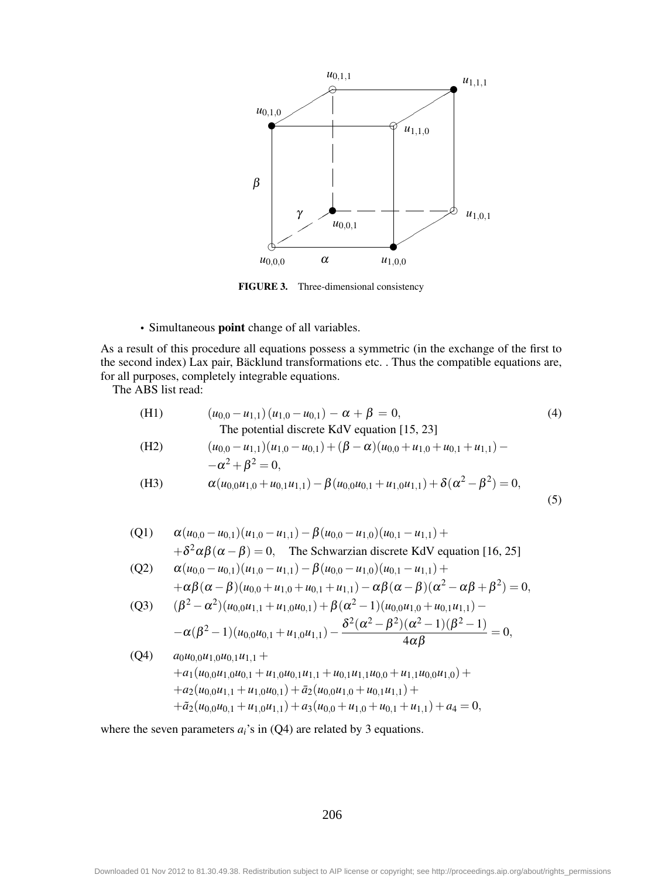

FIGURE 3. Three-dimensional consistency

• Simultaneous point change of all variables.

As a result of this procedure all equations possess a symmetric (in the exchange of the first to the second index) Lax pair, Bäcklund transformations etc. . Thus the compatible equations are, for all purposes, completely integrable equations.

The ABS list read:

(H1) 
$$
(u_{0,0} - u_{1,1})(u_{1,0} - u_{0,1}) - \alpha + \beta = 0,
$$
 (4)  
\nThe potential discrete KdV equation [15, 23]  
\n(H2)  $(u_{0,0} - u_{1,1})(u_{1,0} - u_{0,1}) + (\beta - \alpha)(u_{0,0} + u_{1,0} + u_{0,1} + u_{1,1}) - \alpha^2 + \beta^2 = 0,$   
\n(H3)  $\alpha(u_{0,0}u_{1,0} + u_{0,1}u_{1,1}) - \beta(u_{0,0}u_{0,1} + u_{1,0}u_{1,1}) + \delta(\alpha^2 - \beta^2) = 0,$  (5)

(Q1) 
$$
\alpha (u_{0,0} - u_{0,1})(u_{1,0} - u_{1,1}) - \beta (u_{0,0} - u_{1,0})(u_{0,1} - u_{1,1}) +
$$
  
  $+\delta^2 \alpha \beta (\alpha - \beta) = 0$ , The Schwarzian discrete KdV equation [16, 25]

(Q2) 
$$
\alpha(u_{0,0} - u_{0,1})(u_{1,0} - u_{1,1}) - \beta(u_{0,0} - u_{1,0})(u_{0,1} - u_{1,1}) ++\alpha\beta(\alpha - \beta)(u_{0,0} + u_{1,0} + u_{0,1} + u_{1,1}) - \alpha\beta(\alpha - \beta)(\alpha^2 - \alpha\beta + \beta^2) = 0,
$$

(Q3) 
$$
(\beta^2 - \alpha^2)(u_{0,0}u_{1,1} + u_{1,0}u_{0,1}) + \beta(\alpha^2 - 1)(u_{0,0}u_{1,0} + u_{0,1}u_{1,1}) - \alpha(\beta^2 - 1)(u_{0,0}u_{0,1} + u_{1,0}u_{1,1}) - \frac{\delta^2(\alpha^2 - \beta^2)(\alpha^2 - 1)(\beta^2 - 1)}{4\alpha\beta} = 0,
$$

(Q4) 
$$
a_0u_{0,0}u_{1,0}u_{0,1}u_{1,1} ++ a_1(u_{0,0}u_{1,0}u_{0,1} + u_{1,0}u_{0,1}u_{1,1} + u_{0,1}u_{1,1}u_{0,0} + u_{1,1}u_{0,0}u_{1,0}) ++ a_2(u_{0,0}u_{1,1} + u_{1,0}u_{0,1}) + \bar{a}_2(u_{0,0}u_{1,0} + u_{0,1}u_{1,1}) ++ \bar{a}_2(u_{0,0}u_{0,1} + u_{1,0}u_{1,1}) + a_3(u_{0,0} + u_{1,0} + u_{0,1} + u_{1,1}) + a_4 = 0,
$$

where the seven parameters  $a_i$ 's in  $(Q4)$  are related by 3 equations.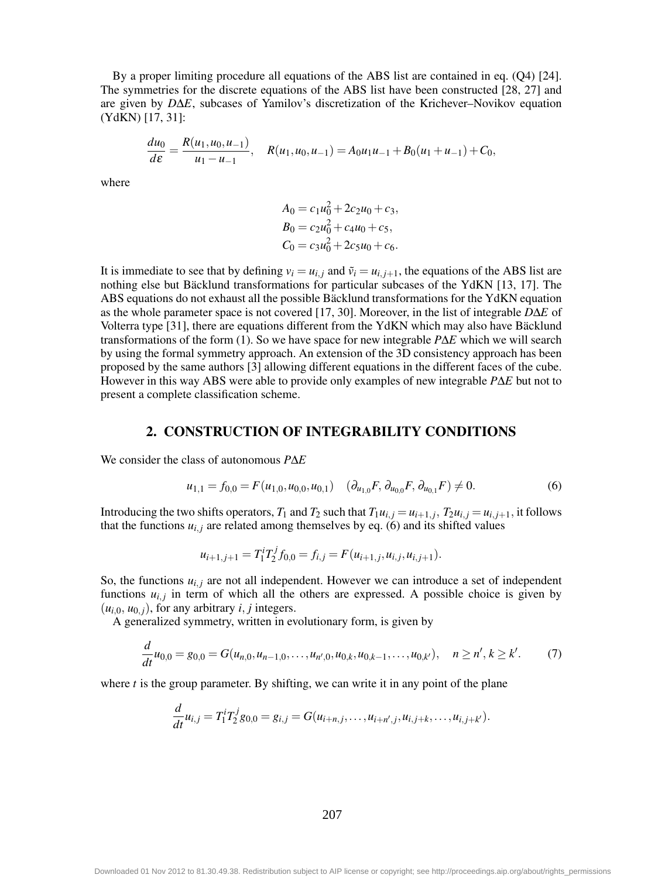By a proper limiting procedure all equations of the ABS list are contained in eq. (Q4) [24]. The symmetries for the discrete equations of the ABS list have been constructed [28, 27] and are given by *D*∆*E*, subcases of Yamilov's discretization of the Krichever–Novikov equation (YdKN) [17, 31]:

$$
\frac{du_0}{d\varepsilon} = \frac{R(u_1, u_0, u_{-1})}{u_1 - u_{-1}}, \quad R(u_1, u_0, u_{-1}) = A_0 u_1 u_{-1} + B_0 (u_1 + u_{-1}) + C_0,
$$

where

$$
A_0 = c_1 u_0^2 + 2c_2 u_0 + c_3,
$$
  
\n
$$
B_0 = c_2 u_0^2 + c_4 u_0 + c_5,
$$
  
\n
$$
C_0 = c_3 u_0^2 + 2c_5 u_0 + c_6.
$$

It is immediate to see that by defining  $v_i = u_{i,i}$  and  $\tilde{v}_i = u_{i,i+1}$ , the equations of the ABS list are nothing else but Bäcklund transformations for particular subcases of the YdKN [13, 17]. The ABS equations do not exhaust all the possible Bäcklund transformations for the YdKN equation as the whole parameter space is not covered [17, 30]. Moreover, in the list of integrable *D*∆*E* of Volterra type [31], there are equations different from the YdKN which may also have Bäcklund transformations of the form (1). So we have space for new integrable *P*∆*E* which we will search by using the formal symmetry approach. An extension of the 3D consistency approach has been proposed by the same authors [3] allowing different equations in the different faces of the cube. However in this way ABS were able to provide only examples of new integrable *P*∆*E* but not to present a complete classification scheme.

#### 2. CONSTRUCTION OF INTEGRABILITY CONDITIONS

We consider the class of autonomous *P*∆*E*

$$
u_{1,1} = f_{0,0} = F(u_{1,0}, u_{0,0}, u_{0,1}) \quad (\partial_{u_{1,0}} F, \partial_{u_{0,0}} F, \partial_{u_{0,1}} F) \neq 0. \tag{6}
$$

Introducing the two shifts operators,  $T_1$  and  $T_2$  such that  $T_1u_{i,j} = u_{i+1,j}$ ,  $T_2u_{i,j} = u_{i,j+1}$ , it follows that the functions  $u_{i,j}$  are related among themselves by eq. (6) and its shifted values

$$
u_{i+1,j+1} = T_1^i T_2^j f_{0,0} = f_{i,j} = F(u_{i+1,j}, u_{i,j}, u_{i,j+1}).
$$

So, the functions  $u_{i,j}$  are not all independent. However we can introduce a set of independent functions  $u_{i,j}$  in term of which all the others are expressed. A possible choice is given by  $(u_{i,0}, u_{0,i})$ , for any arbitrary *i*, *j* integers.

A generalized symmetry, written in evolutionary form, is given by

$$
\frac{d}{dt}u_{0,0}=g_{0,0}=G(u_{n,0},u_{n-1,0},\ldots,u_{n',0},u_{0,k},u_{0,k-1},\ldots,u_{0,k'}),\quad n\geq n',k\geq k'.
$$
 (7)

where  $t$  is the group parameter. By shifting, we can write it in any point of the plane

$$
\frac{d}{dt}u_{i,j}=T_1^iT_2^jg_{0,0}=g_{i,j}=G(u_{i+n,j},\ldots,u_{i+n',j},u_{i,j+k},\ldots,u_{i,j+k'}).
$$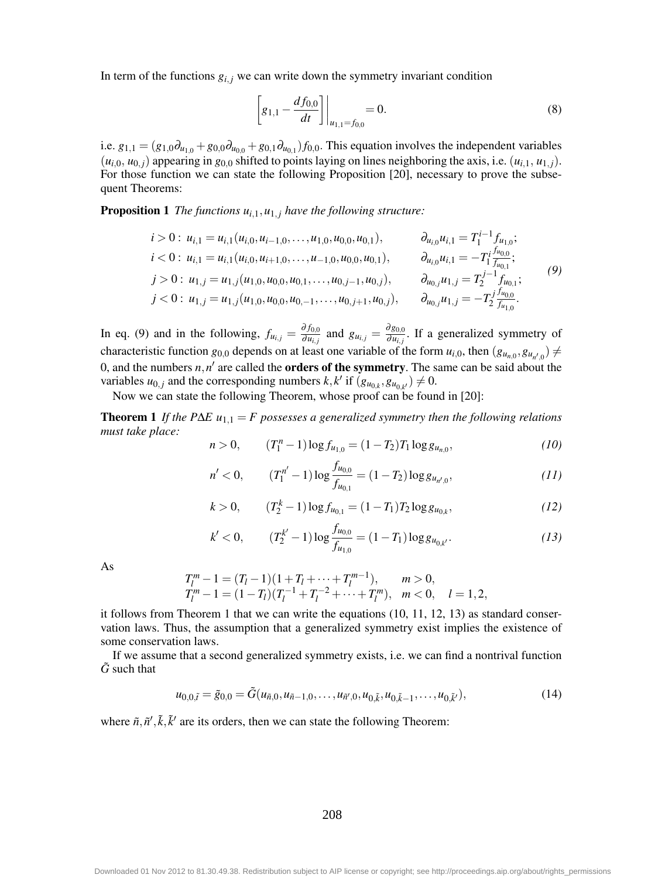In term of the functions  $g_{i,j}$  we can write down the symmetry invariant condition

$$
\left[g_{1,1} - \frac{df_{0,0}}{dt}\right]\Big|_{u_{1,1} = f_{0,0}} = 0.
$$
\n(8)

i.e.  $g_{1,1} = (g_{1,0}\partial_{u_{1,0}} + g_{0,0}\partial_{u_{0,0}} + g_{0,1}\partial_{u_{0,1}}) f_{0,0}$ . This equation involves the independent variables  $(u_{i,0}, u_{0,i})$  appearing in  $g_{0,0}$  shifted to points laying on lines neighboring the axis, i.e.  $(u_{i,1}, u_{1,i})$ . For those function we can state the following Proposition [20], necessary to prove the subsequent Theorems:

**Proposition 1** *The functions*  $u_{i,1}, u_{1,i}$  *have the following structure:* 

$$
\begin{aligned}\ni > 0: u_{i,1} = u_{i,1}(u_{i,0}, u_{i-1,0}, \dots, u_{1,0}, u_{0,0}, u_{0,1}), & \partial_{u_{i,0}} u_{i,1} = T_1^{i-1} f_{u_{1,0}}; \\
i < 0: u_{i,1} = u_{i,1}(u_{i,0}, u_{i+1,0}, \dots, u_{-1,0}, u_{0,0}, u_{0,1}), & \partial_{u_{i,0}} u_{i,1} = -T_1^i \frac{f_{u_{0,0}}}{f_{u_{0,1}}}; \\
j > 0: u_{1,j} = u_{1,j}(u_{1,0}, u_{0,0}, u_{0,1}, \dots, u_{0,j-1}, u_{0,j}), & \partial_{u_{0,j}} u_{1,j} = T_2^{j-1} f_{u_{0,1}}; \\
j < 0: u_{1,j} = u_{1,j}(u_{1,0}, u_{0,0}, u_{0,-1}, \dots, u_{0,j+1}, u_{0,j}), & \partial_{u_{0,j}} u_{1,j} = -T_2^j \frac{f_{u_{0,0}}}{f_{u_{1,0}}}.\n\end{aligned} \tag{9}
$$

In eq. (9) and in the following,  $f_{u_{i,j}} = \frac{\partial f_{0,0}}{\partial u_i}$  $\frac{\partial f_{0,0}}{\partial u_{i,j}}$  and  $g_{u_{i,j}} = \frac{\partial g_{0,0}}{\partial u_{i,j}}$  $\frac{\partial g_{0,0}}{\partial u_{i,j}}$ . If a generalized symmetry of characteristic function  $g_{0,0}$  depends on at least one variable of the form  $u_{i,0}$ , then  $(g_{u_{n,0}}, g_{u_{n,0}}) \neq$ 0, and the numbers  $n, n'$  are called the **orders of the symmetry**. The same can be said about the variables  $u_{0,j}$  and the corresponding numbers  $k, k'$  if  $(g_{u_{0,k}}, g_{u_{0,k'}}) \neq 0$ .

Now we can state the following Theorem, whose proof can be found in [20]:

Theorem 1 *If the P*∆*E u*1,<sup>1</sup> = *F possesses a generalized symmetry then the following relations must take place:*

$$
n > 0, \qquad (T_1^n - 1) \log f_{u_{1,0}} = (1 - T_2) T_1 \log g_{u_{n,0}}, \qquad (10)
$$

$$
n' < 0, \qquad (T_1^{n'} - 1) \log \frac{f_{u_{0,0}}}{f_{u_{0,1}}} = (1 - T_2) \log g_{u_{n',0}}, \qquad (11)
$$

$$
k > 0, \qquad (T_2^k - 1) \log f_{u_{0,1}} = (1 - T_1) T_2 \log g_{u_{0,k}}, \qquad (12)
$$

$$
k' < 0, \qquad (T_2^{k'} - 1) \log \frac{f_{u_{0,0}}}{f_{u_{1,0}}} = (1 - T_1) \log g_{u_{0,k'}}.
$$
 (13)

As

$$
T_l^m - 1 = (T_l - 1)(1 + T_l + \dots + T_l^{m-1}), \qquad m > 0,
$$
  
\n
$$
T_l^m - 1 = (1 - T_l)(T_l^{-1} + T_l^{-2} + \dots + T_l^m), \quad m < 0, \quad l = 1, 2,
$$

it follows from Theorem 1 that we can write the equations (10, 11, 12, 13) as standard conservation laws. Thus, the assumption that a generalized symmetry exist implies the existence of some conservation laws.

If we assume that a second generalized symmetry exists, i.e. we can find a nontrival function  $\tilde{G}$  such that

$$
u_{0,0,\tilde{t}} = \tilde{g}_{0,0} = \tilde{G}(u_{\tilde{n},0}, u_{\tilde{n}-1,0}, \dots, u_{\tilde{n}',0}, u_{0,\tilde{k}}, u_{0,\tilde{k}-1}, \dots, u_{0,\tilde{k}'}),
$$
(14)

where  $\tilde{n}, \tilde{n}', \tilde{k}, \tilde{k}'$  are its orders, then we can state the following Theorem: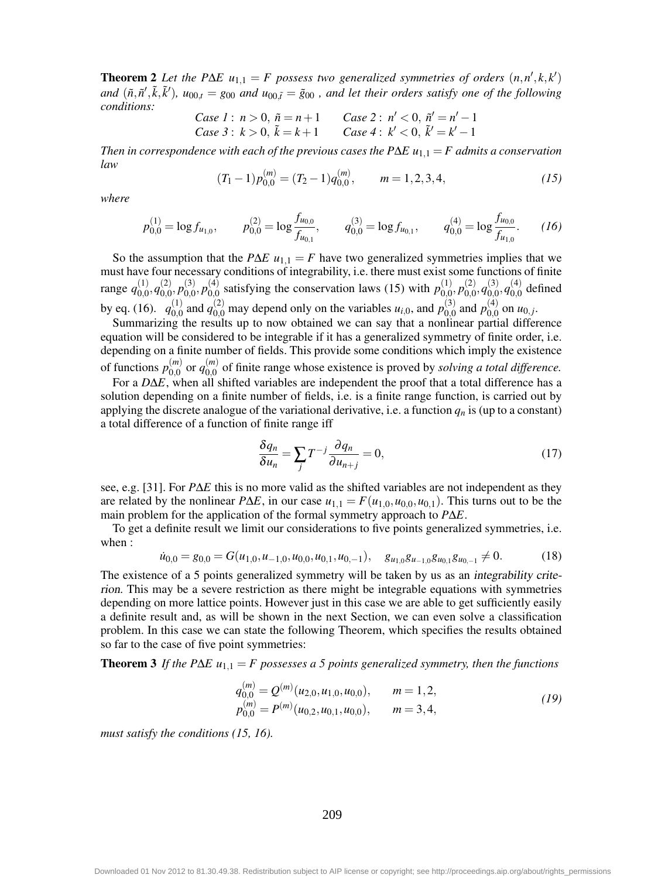**Theorem 2** *Let the P* $\Delta E$  *u<sub>1,1</sub></sub> = <i>F* possess two generalized symmetries of orders  $(n, n', k, k')$ and  $(\tilde{n}, \tilde{n}', \tilde{k}, \tilde{k}')$ ,  $u_{00,t} = g_{00}$  and  $u_{00,\tilde{t}} = \tilde{g}_{00}$ , and let their orders satisfy one of the following *conditions:*

Case 1: 
$$
n > 0
$$
,  $\tilde{n} = n + 1$  Case 2:  $n' < 0$ ,  $\tilde{n}' = n' - 1$   
Case 3:  $k > 0$ ,  $\tilde{k} = k + 1$  Case 4:  $k' < 0$ ,  $\tilde{k}' = k' - 1$ 

*Then in correspondence with each of the previous cases the P* $\Delta E$  *u<sub>1,1</sub> = <i>F admits a conservation law*

$$
(T_1 - 1)p_{0,0}^{(m)} = (T_2 - 1)q_{0,0}^{(m)}, \qquad m = 1,2,3,4,
$$
 (15)

*where*

$$
p_{0,0}^{(1)} = \log f_{u_{1,0}}, \qquad p_{0,0}^{(2)} = \log \frac{f_{u_{0,0}}}{f_{u_{0,1}}}, \qquad q_{0,0}^{(3)} = \log f_{u_{0,1}}, \qquad q_{0,0}^{(4)} = \log \frac{f_{u_{0,0}}}{f_{u_{1,0}}}.
$$
 (16)

So the assumption that the *P*∆*E*  $u_{1,1} = F$  have two generalized symmetries implies that we must have four necessary conditions of integrability, i.e. there must exist some functions of finite range  $q_{0,0}^{(1)}, q_{0,0}^{(2)}, p_{0,0}^{(3)}, p_{0,0}^{(4)}$  satisfying the conservation laws (15) with  $p_{0,0}^{(1)}, p_{0,0}^{(2)}, q_{0,0}^{(3)}, q_{0,0}^{(4)}$  defined by eq. (16).  $q_{0,0}^{(1)}$  and  $q_{0,0}^{(2)}$  may depend only on the variables  $u_{i,0}$ , and  $p_{0,0}^{(3)}$  and  $p_{0,0}^{(4)}$  on  $u_{0,j}$ .

Summarizing the results up to now obtained we can say that a nonlinear partial difference equation will be considered to be integrable if it has a generalized symmetry of finite order, i.e. depending on a finite number of fields. This provide some conditions which imply the existence of functions  $p_{0,0}^{(m)}$  or  $q_{0,0}^{(m)}$  of finite range whose existence is proved by *solving a total difference*.

For a *D*∆*E*, when all shifted variables are independent the proof that a total difference has a solution depending on a finite number of fields, i.e. is a finite range function, is carried out by applying the discrete analogue of the variational derivative, i.e. a function  $q_n$  is (up to a constant) a total difference of a function of finite range iff

$$
\frac{\delta q_n}{\delta u_n} = \sum_j T^{-j} \frac{\partial q_n}{\partial u_{n+j}} = 0,
$$
\n(17)

see, e.g. [31]. For *P*∆*E* this is no more valid as the shifted variables are not independent as they are related by the nonlinear *P*∆*E*, in our case  $u_{1,1} = F(u_{1,0}, u_{0,0}, u_{0,1})$ . This turns out to be the main problem for the application of the formal symmetry approach to *P*∆*E*.

To get a definite result we limit our considerations to five points generalized symmetries, i.e. when :

$$
\dot{u}_{0,0} = g_{0,0} = G(u_{1,0}, u_{-1,0}, u_{0,0}, u_{0,1}, u_{0,-1}), \quad g_{u_{1,0}} g_{u_{-1,0}} g_{u_{0,1}} g_{u_{0,-1}} \neq 0. \tag{18}
$$

The existence of a 5 points generalized symmetry will be taken by us as an integrability criterion. This may be a severe restriction as there might be integrable equations with symmetries depending on more lattice points. However just in this case we are able to get sufficiently easily a definite result and, as will be shown in the next Section, we can even solve a classification problem. In this case we can state the following Theorem, which specifies the results obtained so far to the case of five point symmetries:

Theorem 3 *If the P*∆*E u*1,<sup>1</sup> = *F possesses a 5 points generalized symmetry, then the functions*

$$
q_{0,0}^{(m)} = Q^{(m)}(u_{2,0}, u_{1,0}, u_{0,0}), \t m = 1,2,p_{0,0}^{(m)} = P^{(m)}(u_{0,2}, u_{0,1}, u_{0,0}), \t m = 3,4,
$$
\t(19)

*must satisfy the conditions (15, 16).*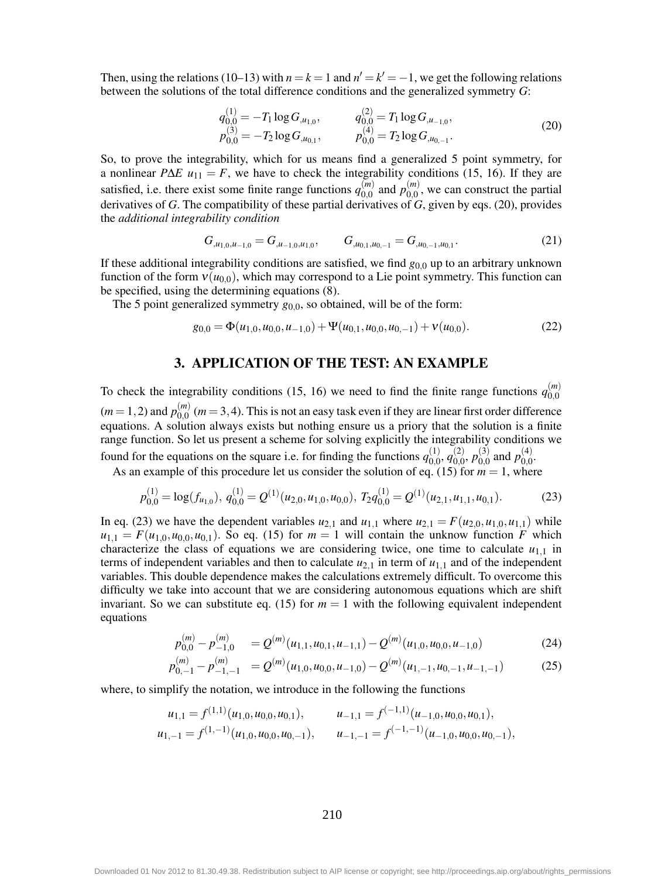Then, using the relations (10–13) with  $n = k = 1$  and  $n' = k' = -1$ , we get the following relations between the solutions of the total difference conditions and the generalized symmetry *G*:

$$
q_{0,0}^{(1)} = -T_1 \log G_{,u_{1,0}}, \qquad q_{0,0}^{(2)} = T_1 \log G_{,u_{-1,0}},
$$
  
\n
$$
p_{0,0}^{(3)} = -T_2 \log G_{,u_{0,1}}, \qquad p_{0,0}^{(4)} = T_2 \log G_{,u_{0,-1}}.
$$
\n(20)

So, to prove the integrability, which for us means find a generalized 5 point symmetry, for a nonlinear *P*∆*E*  $u_{11} = F$ , we have to check the integrability conditions (15, 16). If they are satisfied, i.e. there exist some finite range functions  $q_{0,0}^{(m)}$  and  $p_{0,0}^{(m)}$ , we can construct the partial derivatives of *G*. The compatibility of these partial derivatives of *G*, given by eqs. (20), provides the *additional integrability condition*

$$
G_{,u_{1,0},u_{-1,0}} = G_{,u_{-1,0},u_{1,0}}, \qquad G_{,u_{0,1},u_{0,-1}} = G_{,u_{0,-1},u_{0,1}}.
$$
\n
$$
(21)
$$

If these additional integrability conditions are satisfied, we find *g*0,<sup>0</sup> up to an arbitrary unknown function of the form  $v(u_{0,0})$ , which may correspond to a Lie point symmetry. This function can be specified, using the determining equations (8).

The 5 point generalized symmetry  $g_{0,0}$ , so obtained, will be of the form:

$$
g_{0,0} = \Phi(u_{1,0}, u_{0,0}, u_{-1,0}) + \Psi(u_{0,1}, u_{0,0}, u_{0,-1}) + \nu(u_{0,0}).
$$
\n(22)

#### 3. APPLICATION OF THE TEST: AN EXAMPLE

To check the integrability conditions (15, 16) we need to find the finite range functions  $q_{0,0}^{(m)}$  $(m=1,2)$  and  $p_{0,0}^{(m)}$   $(m=3,4)$ . This is not an easy task even if they are linear first order difference equations. A solution always exists but nothing ensure us a priory that the solution is a finite range function. So let us present a scheme for solving explicitly the integrability conditions we found for the equations on the square i.e. for finding the functions  $q_{0,0}^{(1)}, q_{0,0}^{(2)}, p_{0,0}^{(3)}$  and  $p_{0,0}^{(4)}$ .

As an example of this procedure let us consider the solution of eq. (15) for  $m = 1$ , where

$$
p_{0,0}^{(1)} = \log(f_{u_{1,0}}), \, q_{0,0}^{(1)} = Q^{(1)}(u_{2,0}, u_{1,0}, u_{0,0}), \, T_2 q_{0,0}^{(1)} = Q^{(1)}(u_{2,1}, u_{1,1}, u_{0,1}). \tag{23}
$$

In eq. (23) we have the dependent variables  $u_{2,1}$  and  $u_{1,1}$  where  $u_{2,1} = F(u_{2,0}, u_{1,0}, u_{1,1})$  while  $u_{1,1} = F(u_{1,0}, u_{0,0}, u_{0,1})$ . So eq. (15) for  $m = 1$  will contain the unknow function *F* which characterize the class of equations we are considering twice, one time to calculate  $u_{1,1}$  in terms of independent variables and then to calculate  $u_{2,1}$  in term of  $u_{1,1}$  and of the independent variables. This double dependence makes the calculations extremely difficult. To overcome this difficulty we take into account that we are considering autonomous equations which are shift invariant. So we can substitute eq. (15) for  $m = 1$  with the following equivalent independent equations

$$
p_{0,0}^{(m)} - p_{-1,0}^{(m)} = Q^{(m)}(u_{1,1}, u_{0,1}, u_{-1,1}) - Q^{(m)}(u_{1,0}, u_{0,0}, u_{-1,0})
$$
(24)

$$
p_{0,-1}^{(m)} - p_{-1,-1}^{(m)} = \mathcal{Q}^{(m)}(u_{1,0}, u_{0,0}, u_{-1,0}) - \mathcal{Q}^{(m)}(u_{1,-1}, u_{0,-1}, u_{-1,-1})
$$
(25)

where, to simplify the notation, we introduce in the following the functions

$$
u_{1,1} = f^{(1,1)}(u_{1,0}, u_{0,0}, u_{0,1}), \t u_{-1,1} = f^{(-1,1)}(u_{-1,0}, u_{0,0}, u_{0,1}),
$$
  

$$
u_{1,-1} = f^{(1,-1)}(u_{1,0}, u_{0,0}, u_{0,-1}), \t u_{-1,-1} = f^{(-1,-1)}(u_{-1,0}, u_{0,0}, u_{0,-1}),
$$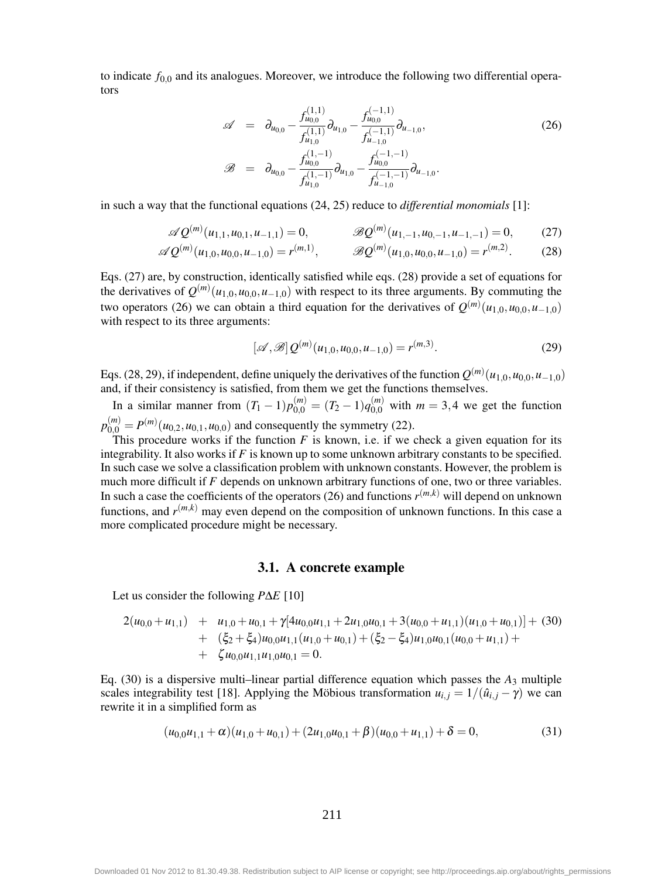to indicate  $f_{0,0}$  and its analogues. Moreover, we introduce the following two differential operators

$$
\mathscr{A} = \partial_{u_{0,0}} - \frac{f_{u_{0,0}}^{(1,1)}}{f_{u_{1,0}}^{(1,1)}} \partial_{u_{1,0}} - \frac{f_{u_{0,0}}^{(-1,1)}}{f_{u_{-1,0}}^{(-1,1)}} \partial_{u_{-1,0}},
$$
\n
$$
\mathscr{B} = \partial_{u_{0,0}} - \frac{f_{u_{0,0}}^{(1,-1)}}{f_{u_{1,0}}^{(1,-1)}} \partial_{u_{1,0}} - \frac{f_{u_{0,0}}^{(-1,-1)}}{f_{u_{-1,0}}^{(-1,-1)}} \partial_{u_{-1,0}}.
$$
\n(26)

in such a way that the functional equations (24, 25) reduce to *differential monomials* [1]:

$$
\mathscr{A}Q^{(m)}(u_{1,1}, u_{0,1}, u_{-1,1}) = 0, \qquad \mathscr{B}Q^{(m)}(u_{1,-1}, u_{0,-1}, u_{-1,-1}) = 0, \qquad (27)
$$

$$
\mathscr{A}Q^{(m)}(u_{1,0}, u_{0,0}, u_{-1,0}) = r^{(m,1)}, \qquad \mathscr{B}Q^{(m)}(u_{1,0}, u_{0,0}, u_{-1,0}) = r^{(m,2)}.
$$
 (28)

Eqs. (27) are, by construction, identically satisfied while eqs. (28) provide a set of equations for the derivatives of  $Q^{(m)}(u_{1,0}, u_{0,0}, u_{-1,0})$  with respect to its three arguments. By commuting the two operators (26) we can obtain a third equation for the derivatives of  $Q^{(m)}(u_{1,0}, u_{0,0}, u_{-1,0})$ with respect to its three arguments:

$$
[\mathscr{A}, \mathscr{B}] Q^{(m)}(u_{1,0}, u_{0,0}, u_{-1,0}) = r^{(m,3)}.
$$
 (29)

Eqs. (28, 29), if independent, define uniquely the derivatives of the function  $Q^{(m)}(u_{1,0}, u_{0,0}, u_{-1,0})$ and, if their consistency is satisfied, from them we get the functions themselves.

In a similar manner from  $(T_1 - 1)p_{0,0}^{(m)} = (T_2 - 1)q_{0,0}^{(m)}$  with  $m = 3,4$  we get the function  $p_{0,0}^{(m)} = P^{(m)}(u_{0,2}, u_{0,1}, u_{0,0})$  and consequently the symmetry (22).

This procedure works if the function  $F$  is known, i.e. if we check a given equation for its integrability. It also works if *F* is known up to some unknown arbitrary constants to be specified. In such case we solve a classification problem with unknown constants. However, the problem is much more difficult if *F* depends on unknown arbitrary functions of one, two or three variables. In such a case the coefficients of the operators (26) and functions  $r^{(m,k)}$  will depend on unknown functions, and  $r^{(m,k)}$  may even depend on the composition of unknown functions. In this case a more complicated procedure might be necessary.

#### 3.1. A concrete example

Let us consider the following *P*∆*E* [10]

$$
2(u_{0,0}+u_{1,1}) + u_{1,0}+u_{0,1}+\gamma[4u_{0,0}u_{1,1}+2u_{1,0}u_{0,1}+3(u_{0,0}+u_{1,1})(u_{1,0}+u_{0,1})]+ (30)+ (\xi_2+\xi_4)u_{0,0}u_{1,1}(u_{1,0}+u_{0,1})+(\xi_2-\xi_4)u_{1,0}u_{0,1}(u_{0,0}+u_{1,1})++ \zeta u_{0,0}u_{1,1}u_{1,0}u_{0,1}=0.
$$

Eq.  $(30)$  is a dispersive multi-linear partial difference equation which passes the  $A_3$  multiple scales integrability test [18]. Applying the Möbious transformation  $u_{i,j} = 1/(\hat{u}_{i,j} - \gamma)$  we can rewrite it in a simplified form as

$$
(u_{0,0}u_{1,1} + \alpha)(u_{1,0} + u_{0,1}) + (2u_{1,0}u_{0,1} + \beta)(u_{0,0} + u_{1,1}) + \delta = 0,
$$
\n(31)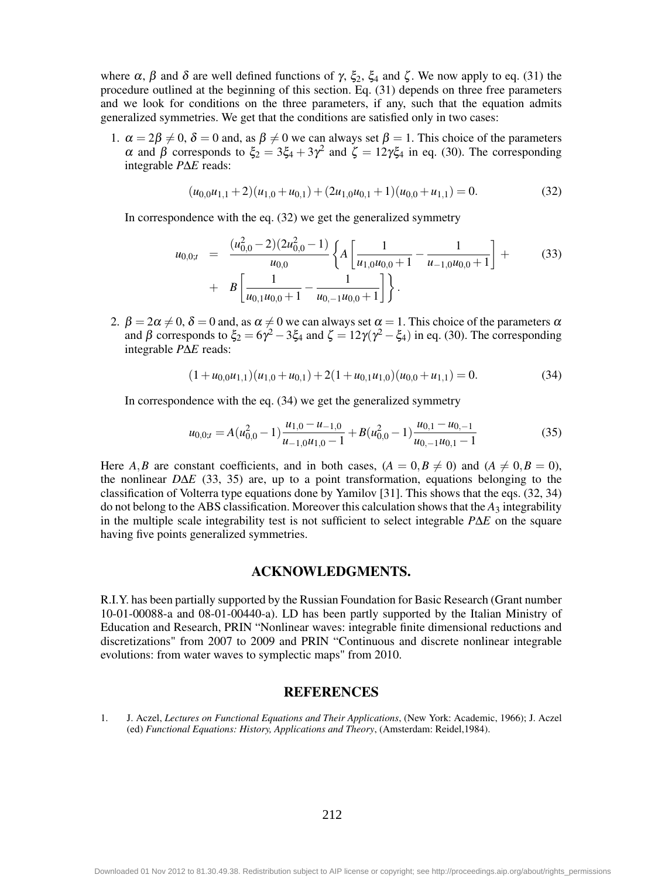where  $\alpha$ ,  $\beta$  and  $\delta$  are well defined functions of γ,  $\xi_2$ ,  $\xi_4$  and ζ. We now apply to eq. (31) the procedure outlined at the beginning of this section. Eq. (31) depends on three free parameters and we look for conditions on the three parameters, if any, such that the equation admits generalized symmetries. We get that the conditions are satisfied only in two cases:

1.  $\alpha = 2\beta \neq 0$ ,  $\delta = 0$  and, as  $\beta \neq 0$  we can always set  $\beta = 1$ . This choice of the parameters α and β corresponds to  $\xi_2 = 3\xi_4 + 3\gamma^2$  and  $\zeta = 12\gamma\xi_4$  in eq. (30). The corresponding integrable *P*∆*E* reads:

$$
(u_{0,0}u_{1,1}+2)(u_{1,0}+u_{0,1})+(2u_{1,0}u_{0,1}+1)(u_{0,0}+u_{1,1})=0.
$$
\n(32)

In correspondence with the eq. (32) we get the generalized symmetry

$$
u_{0,0;t} = \frac{(u_{0,0}^2 - 2)(2u_{0,0}^2 - 1)}{u_{0,0}} \left\{ A \left[ \frac{1}{u_{1,0}u_{0,0} + 1} - \frac{1}{u_{-1,0}u_{0,0} + 1} \right] + \right\}
$$
(33)  
+  $B \left[ \frac{1}{u_{0,1}u_{0,0} + 1} - \frac{1}{u_{0,-1}u_{0,0} + 1} \right] \right\}.$ 

2.  $\beta = 2\alpha \neq 0$ ,  $\delta = 0$  and, as  $\alpha \neq 0$  we can always set  $\alpha = 1$ . This choice of the parameters  $\alpha$ and  $\beta$  corresponds to  $\xi_2 = 6\gamma^2 - 3\xi_4$  and  $\zeta = 12\gamma(\gamma^2 - \xi_4)$  in eq. (30). The corresponding integrable *P*∆*E* reads:

$$
(1+u_{0,0}u_{1,1})(u_{1,0}+u_{0,1})+2(1+u_{0,1}u_{1,0})(u_{0,0}+u_{1,1})=0.
$$
\n(34)

In correspondence with the eq. (34) we get the generalized symmetry

$$
u_{0,0;t} = A(u_{0,0}^2 - 1) \frac{u_{1,0} - u_{-1,0}}{u_{-1,0}u_{1,0} - 1} + B(u_{0,0}^2 - 1) \frac{u_{0,1} - u_{0,-1}}{u_{0,-1}u_{0,1} - 1}
$$
(35)

Here *A*,*B* are constant coefficients, and in both cases,  $(A = 0, B \neq 0)$  and  $(A \neq 0, B = 0)$ , the nonlinear *D*∆*E* (33, 35) are, up to a point transformation, equations belonging to the classification of Volterra type equations done by Yamilov [31]. This shows that the eqs. (32, 34) do not belong to the ABS classification. Moreover this calculation shows that the *A*<sup>3</sup> integrability in the multiple scale integrability test is not sufficient to select integrable *P*∆*E* on the square having five points generalized symmetries.

#### ACKNOWLEDGMENTS.

R.I.Y. has been partially supported by the Russian Foundation for Basic Research (Grant number 10-01-00088-a and 08-01-00440-a). LD has been partly supported by the Italian Ministry of Education and Research, PRIN "Nonlinear waves: integrable finite dimensional reductions and discretizations" from 2007 to 2009 and PRIN "Continuous and discrete nonlinear integrable evolutions: from water waves to symplectic maps" from 2010.

#### **REFERENCES**

1. J. Aczel, *Lectures on Functional Equations and Their Applications*, (New York: Academic, 1966); J. Aczel (ed) *Functional Equations: History, Applications and Theory*, (Amsterdam: Reidel,1984).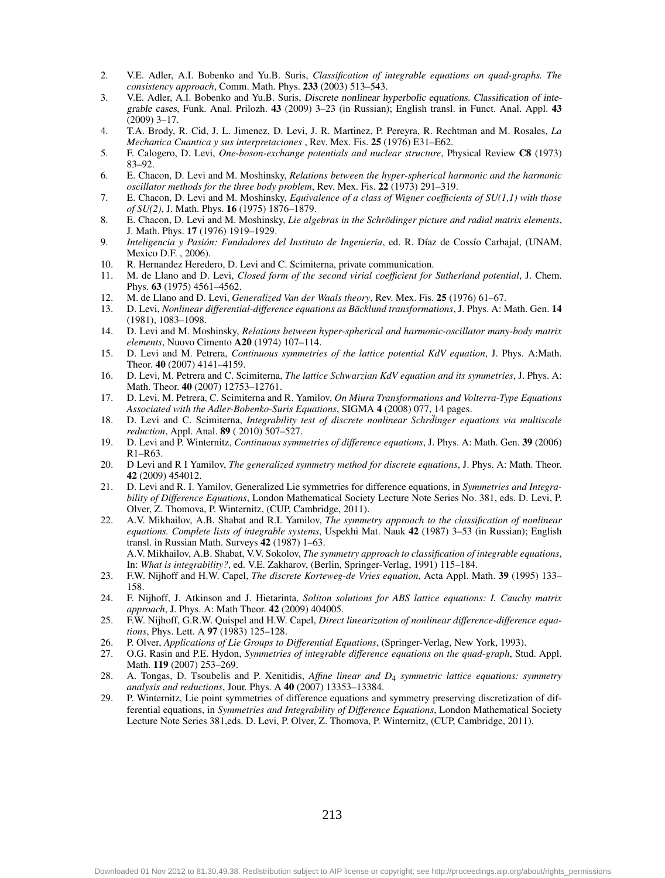- 2. V.E. Adler, A.I. Bobenko and Yu.B. Suris, *Classification of integrable equations on quad-graphs. The consistency approach*, Comm. Math. Phys. 233 (2003) 513–543.
- 3. V.E. Adler, A.I. Bobenko and Yu.B. Suris, Discrete nonlinear hyperbolic equations. Classification of integrable cases, Funk. Anal. Prilozh. 43 (2009) 3–23 (in Russian); English transl. in Funct. Anal. Appl. 43 (2009) 3–17.
- 4. T.A. Brody, R. Cid, J. L. Jimenez, D. Levi, J. R. Martinez, P. Pereyra, R. Rechtman and M. Rosales, *La Mechanica Cuantica y sus interpretaciones* , Rev. Mex. Fis. 25 (1976) E31–E62.
- 5. F. Calogero, D. Levi, *One-boson-exchange potentials and nuclear structure*, Physical Review C8 (1973) 83–92.
- 6. E. Chacon, D. Levi and M. Moshinsky, *Relations between the hyper-spherical harmonic and the harmonic oscillator methods for the three body problem*, Rev. Mex. Fis. 22 (1973) 291–319.
- 7. E. Chacon, D. Levi and M. Moshinsky, *Equivalence of a class of Wigner coefficients of SU(1,1) with those of SU(2)*, J. Math. Phys. 16 (1975) 1876–1879.
- 8. E. Chacon, D. Levi and M. Moshinsky, *Lie algebras in the Schrödinger picture and radial matrix elements*, J. Math. Phys. 17 (1976) 1919–1929.
- 9. *Inteligencia y Pasión: Fundadores del Instituto de Ingeniería*, ed. R. Díaz de Cossío Carbajal, (UNAM, Mexico D.F. , 2006).
- 10. R. Hernandez Heredero, D. Levi and C. Scimiterna, private communication.<br>11 M de Llano and D. Levi Closed form of the second virial coefficient for
- 11. M. de Llano and D. Levi, *Closed form of the second virial coefficient for Sutherland potential*, J. Chem. Phys. 63 (1975) 4561–4562.
- 12. M. de Llano and D. Levi, *Generalized Van der Waals theory*, Rev. Mex. Fis. 25 (1976) 61–67.
- 13. D. Levi, *Nonlinear differential-difference equations as Bäcklund transformations*, J. Phys. A: Math. Gen. 14 (1981), 1083–1098.
- 14. D. Levi and M. Moshinsky, *Relations between hyper-spherical and harmonic-oscillator many-body matrix elements*, Nuovo Cimento A20 (1974) 107–114.
- 15. D. Levi and M. Petrera, *Continuous symmetries of the lattice potential KdV equation*, J. Phys. A:Math. Theor. 40 (2007) 4141–4159.
- 16. D. Levi, M. Petrera and C. Scimiterna, *The lattice Schwarzian KdV equation and its symmetries*, J. Phys. A: Math. Theor. 40 (2007) 12753–12761.
- 17. D. Levi, M. Petrera, C. Scimiterna and R. Yamilov, *On Miura Transformations and Volterra-Type Equations Associated with the Adler-Bobenko-Suris Equations*, SIGMA 4 (2008) 077, 14 pages.
- 18. D. Levi and C. Scimiterna, *Integrability test of discrete nonlinear Schrdinger equations via multiscale reduction*, Appl. Anal. 89 ( 2010) 507–527.
- 19. D. Levi and P. Winternitz, *Continuous symmetries of difference equations*, J. Phys. A: Math. Gen. 39 (2006) R1–R63.
- 20. D Levi and R I Yamilov, *The generalized symmetry method for discrete equations*, J. Phys. A: Math. Theor. 42 (2009) 454012.
- 21. D. Levi and R. I. Yamilov, Generalized Lie symmetries for difference equations, in *Symmetries and Integrability of Difference Equations*, London Mathematical Society Lecture Note Series No. 381, eds. D. Levi, P. Olver, Z. Thomova, P. Winternitz, (CUP, Cambridge, 2011).
- 22. A.V. Mikhailov, A.B. Shabat and R.I. Yamilov, *The symmetry approach to the classification of nonlinear equations. Complete lists of integrable systems*, Uspekhi Mat. Nauk 42 (1987) 3–53 (in Russian); English transl. in Russian Math. Surveys 42 (1987) 1–63. A.V. Mikhailov, A.B. Shabat, V.V. Sokolov, *The symmetry approach to classification of integrable equations*,

In: *What is integrability?*, ed. V.E. Zakharov, (Berlin, Springer-Verlag, 1991) 115–184.

- 23. F.W. Nijhoff and H.W. Capel, *The discrete Korteweg-de Vries equation*, Acta Appl. Math. 39 (1995) 133– 158.
- 24. F. Nijhoff, J. Atkinson and J. Hietarinta, *Soliton solutions for ABS lattice equations: I. Cauchy matrix approach*, J. Phys. A: Math Theor. 42 (2009) 404005.
- 25. F.W. Nijhoff, G.R.W. Quispel and H.W. Capel, *Direct linearization of nonlinear difference-difference equations*, Phys. Lett. A 97 (1983) 125–128.
- 26. P. Olver, *Applications of Lie Groups to Differential Equations*, (Springer-Verlag, New York, 1993).<br>27. O.G. Rasin and P.E. Hydon, *Symmetries of integrable difference equations on the quad-graph*, Stu
- 27. O.G. Rasin and P.E. Hydon, *Symmetries of integrable difference equations on the quad-graph*, Stud. Appl. Math. 119 (2007) 253–269.
- 28. A. Tongas, D. Tsoubelis and P. Xenitidis, *Affine linear and D*<sup>4</sup> *symmetric lattice equations: symmetry analysis and reductions*, Jour. Phys. A 40 (2007) 13353–13384.
- 29. P. Winternitz, Lie point symmetries of difference equations and symmetry preserving discretization of differential equations, in *Symmetries and Integrability of Difference Equations*, London Mathematical Society Lecture Note Series 381,eds. D. Levi, P. Olver, Z. Thomova, P. Winternitz, (CUP, Cambridge, 2011).